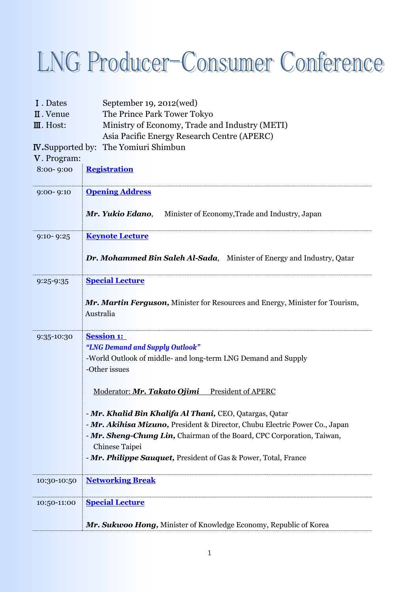## r

| I. Dates                 | September 19, 2012(wed)                                                                    |
|--------------------------|--------------------------------------------------------------------------------------------|
| II. Venue                | The Prince Park Tower Tokyo                                                                |
| III. Host:               | Ministry of Economy, Trade and Industry (METI)                                             |
|                          | Asia Pacific Energy Research Centre (APERC)                                                |
| <b>IV.</b> Supported by: | The Yomiuri Shimbun                                                                        |
| V. Program:              |                                                                                            |
| 8:00-9:00                | <b>Registration</b>                                                                        |
| $9:00 - 9:10$            | <b>Opening Address</b>                                                                     |
|                          | Mr. Yukio Edano,<br>Minister of Economy, Trade and Industry, Japan                         |
| $9:10 - 9:25$            | <b>Keynote Lecture</b>                                                                     |
|                          | <b>Dr. Mohammed Bin Saleh Al-Sada,</b> Minister of Energy and Industry, Qatar              |
| 9:25-9:35                | <b>Special Lecture</b>                                                                     |
|                          | Mr. Martin Ferguson, Minister for Resources and Energy, Minister for Tourism,<br>Australia |
| 9:35-10:30               | <b>Session 1:</b>                                                                          |
|                          | "LNG Demand and Supply Outlook"                                                            |
|                          | -World Outlook of middle- and long-term LNG Demand and Supply<br>-Other issues             |
|                          | Moderator: Mr. Takato Ojimi President of APERC                                             |
|                          | - Mr. Khalid Bin Khalifa Al Thani, CEO, Qatargas, Qatar                                    |
|                          | - Mr. Akihisa Mizuno, President & Director, Chubu Electric Power Co., Japan                |
|                          | - Mr. Sheng-Chung Lin, Chairman of the Board, CPC Corporation, Taiwan,                     |
|                          | Chinese Taipei                                                                             |
|                          | - Mr. Philippe Sauquet, President of Gas & Power, Total, France                            |
| 10:30-10:50              | <b>Networking Break</b>                                                                    |
| 10:50-11:00              | <b>Special Lecture</b>                                                                     |
|                          | Mr. Sukwoo Hong, Minister of Knowledge Economy, Republic of Korea                          |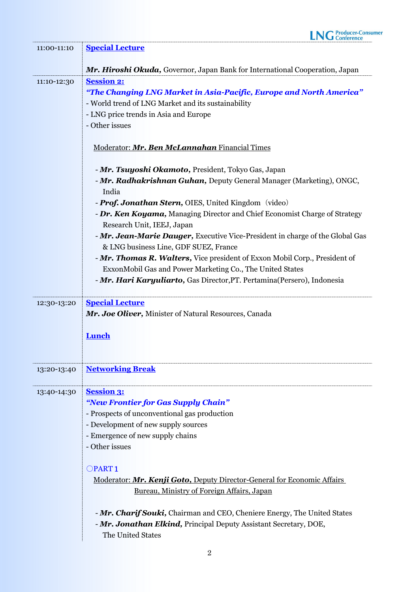| 11:00-11:10 | <b>Special Lecture</b>                                                                                                                                             |
|-------------|--------------------------------------------------------------------------------------------------------------------------------------------------------------------|
|             | Mr. Hiroshi Okuda, Governor, Japan Bank for International Cooperation, Japan                                                                                       |
| 11:10-12:30 | <b>Session 2:</b>                                                                                                                                                  |
|             | "The Changing LNG Market in Asia-Pacific, Europe and North America"                                                                                                |
|             | - World trend of LNG Market and its sustainability                                                                                                                 |
|             | - LNG price trends in Asia and Europe                                                                                                                              |
|             | - Other issues                                                                                                                                                     |
|             | Moderator: Mr. Ben McLannahan Financial Times                                                                                                                      |
|             | - Mr. Tsuyoshi Okamoto, President, Tokyo Gas, Japan                                                                                                                |
|             | - Mr. Radhakrishnan Guhan, Deputy General Manager (Marketing), ONGC,                                                                                               |
|             | India                                                                                                                                                              |
|             | - <b>Prof. Jonathan Stern, OIES</b> , United Kingdom (video)                                                                                                       |
|             | - Dr. Ken Koyama, Managing Director and Chief Economist Charge of Strategy                                                                                         |
|             | Research Unit, IEEJ, Japan                                                                                                                                         |
|             | - Mr. Jean-Marie Dauger, Executive Vice-President in charge of the Global Gas                                                                                      |
|             | & LNG business Line, GDF SUEZ, France                                                                                                                              |
|             | - Mr. Thomas R. Walters, Vice president of Exxon Mobil Corp., President of<br>ExxonMobil Gas and Power Marketing Co., The United States                            |
|             | - Mr. Hari Karyuliarto, Gas Director, PT. Pertamina (Persero), Indonesia                                                                                           |
|             |                                                                                                                                                                    |
| 12:30-13:20 | <b>Special Lecture</b>                                                                                                                                             |
|             | Mr. Joe Oliver, Minister of Natural Resources, Canada                                                                                                              |
|             |                                                                                                                                                                    |
|             | Lunch                                                                                                                                                              |
|             |                                                                                                                                                                    |
| 13:20-13:40 | <b>Networking Break</b>                                                                                                                                            |
| 13:40-14:30 | <b>Session 3:</b>                                                                                                                                                  |
|             | "New Frontier for Gas Supply Chain"                                                                                                                                |
|             | - Prospects of unconventional gas production                                                                                                                       |
|             | - Development of new supply sources                                                                                                                                |
|             | - Emergence of new supply chains                                                                                                                                   |
|             | - Other issues                                                                                                                                                     |
|             | OPART <sub>1</sub>                                                                                                                                                 |
|             | Moderator: Mr. Kenji Goto, Deputy Director-General for Economic Affairs                                                                                            |
|             | Bureau, Ministry of Foreign Affairs, Japan                                                                                                                         |
|             | - Mr. Charif Souki, Chairman and CEO, Cheniere Energy, The United States<br>- Mr. Jonathan Elkind, Principal Deputy Assistant Secretary, DOE,<br>The United States |